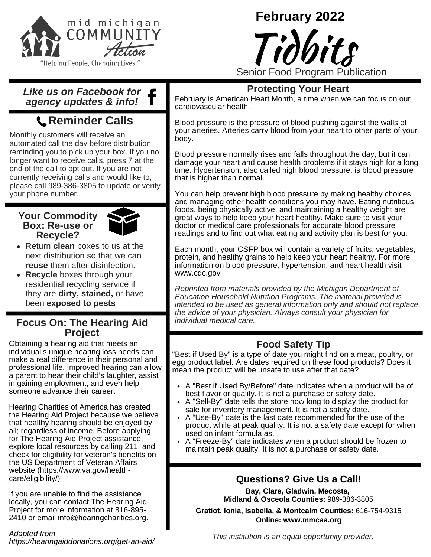

# **February 2022**



#### *Like us on Facebook for agency updates & info!*

# **Reminder Calls**

Monthly customers will receive an automated call the day before distribution reminding you to pick up your box. If you no longer want to receive calls, press 7 at the end of the call to opt out. If you are not currently receiving calls and would like to, please call 989-386-3805 to update or verify your phone number.

#### **Your Commodity Box: Re-use or Recycle?**



- Return **clean** boxes to us at the next distribution so that we can **reuse** them after disinfection.
- **Recycle** boxes through your residential recycling service if they are **dirty, stained,** or have been **exposed to pests**

#### **Focus On: The Hearing Aid Project**

Obtaining a hearing aid that meets an individual's unique hearing loss needs can make a real difference in their personal and professional life. Improved hearing can allow a parent to hear their child's laughter, assist in gaining employment, and even help someone advance their career.

Hearing Charities of America has created the Hearing Aid Project because we believe that healthy hearing should be enjoyed by all; regardless of income. Before applying for The Hearing Aid Project assistance, explore local resources by calling 211, and check for eligibility for veteran's benefits on the US Department of Veteran Affairs website (https://www.va.gov/healthcare/eligibility/)

If you are unable to find the assistance locally, you can contact The Hearing Aid Project for more information at 816-895- 2410 or email [info@hearingcharities.org.](mailto:info@hearingcharities.org)

*Adapted from https://hearingaiddonations.org/get-an-aid/*

### **Protecting Your Heart**

February is American Heart Month, a time when we can focus on our cardiovascular health.

Blood pressure is the pressure of blood pushing against the walls of your arteries. Arteries carry blood from your heart to other parts of your body.

Blood pressure normally rises and falls throughout the day, but it can damage your heart and cause health problems if it stays high for a long time. Hypertension, also called high blood pressure, is blood pressure that is higher than normal.

You can help prevent high blood pressure by making healthy choices and managing other health conditions you may have. Eating nutritious foods, being physically active, and maintaining a healthy weight are great ways to help keep your heart healthy. Make sure to visit your doctor or medical care professionals for accurate blood pressure readings and to find out what eating and activity plan is best for you.

Each month, your CSFP box will contain a variety of fruits, vegetables, protein, and healthy grains to help keep your heart healthy. For more information on blood pressure, hypertension, and heart health visit [www.cdc.gov](http://www.cdc.gov/)

*Reprinted from materials provided by the Michigan Department of Education Household Nutrition Programs. The material provided is intended to be used as general information only and should not replace the advice of your physician. Always consult your physician for individual medical care.*

## **Food Safety Tip**

"Best if Used By" is a type of date you might find on a meat, poultry, or egg product label. Are dates required on these food products? Does it mean the product will be unsafe to use after that date?

- A "Best if Used By/Before" date indicates when a product will be of best flavor or quality. It is not a purchase or safety date.
- A "Sell-By" date tells the store how long to display the product for sale for inventory management. It is not a safety date.
- A "Use-By" date is the last date recommended for the use of the product while at peak quality. It is not a safety date except for when used on infant formula as.
- A "Freeze-By" date indicates when a product should be frozen to maintain peak quality. It is not a purchase or safety date.

## **Questions? Give Us a Call!**

**Bay, Clare, Gladwin, Mecosta, Midland & Osceola Counties:** 989-386-3805

**Gratiot, Ionia, Isabella, & Montcalm Counties:** 616-754-9315 **Online: www.mmcaa.org**

*This institution is an equal opportunity provider.*